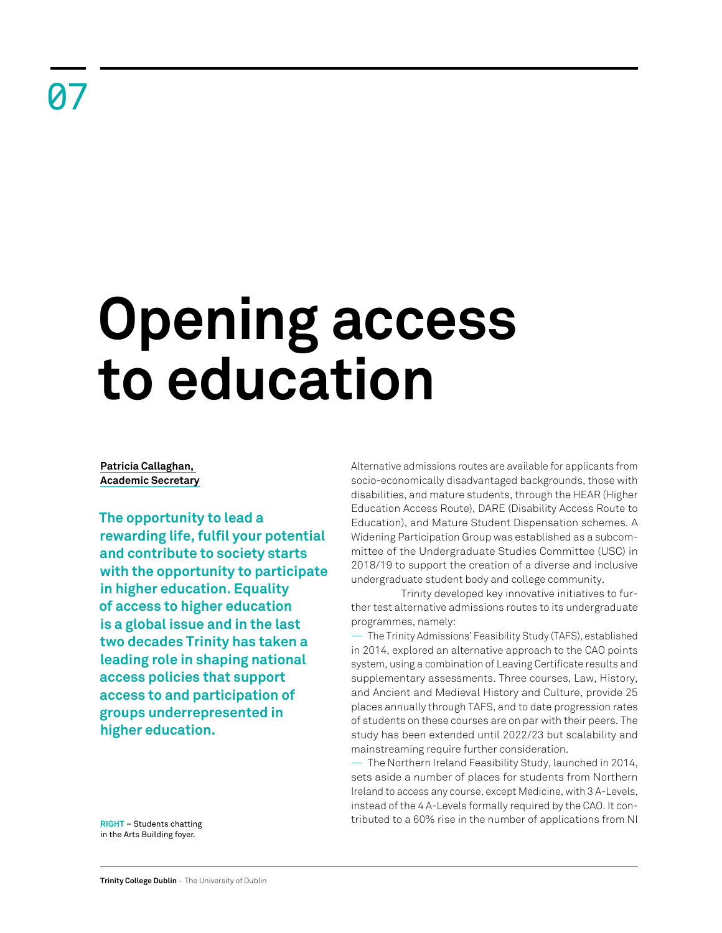# **Opening access to education**

# **Patricia Callaghan, Academic Secretary**

**The opportunity to lead a rewarding life, fulfil your potential and contribute to society starts with the opportunity to participate in higher education. Equality of access to higher education is a global issue and in the last two decades Trinity has taken a leading role in shaping national access policies that support access to and participation of groups underrepresented in higher education.**

Alternative admissions routes are available for applicants from socio-economically disadvantaged backgrounds, those with disabilities, and mature students, through the HEAR (Higher Education Access Route), DARE (Disability Access Route to Education), and Mature Student Dispensation schemes. A Widening Participation Group was established as a subcommittee of the Undergraduate Studies Committee (USC) in 2018/19 to support the creation of a diverse and inclusive undergraduate student body and college community.

Trinity developed key innovative initiatives to further test alternative admissions routes to its undergraduate programmes, namely:

— The Trinity Admissions' Feasibility Study (TAFS), established in 2014, explored an alternative approach to the CAO points system, using a combination of Leaving Certificate results and supplementary assessments. Three courses, Law, History, and Ancient and Medieval History and Culture, provide 25 places annually through TAFS, and to date progression rates of students on these courses are on par with their peers. The study has been extended until 2022/23 but scalability and mainstreaming require further consideration.

— The Northern Ireland Feasibility Study, launched in 2014, sets aside a number of places for students from Northern Ireland to access any course, except Medicine, with 3 A-Levels, instead of the 4 A-Levels formally required by the CAO. It contributed to a 60% rise in the number of applications from NI

**RIGHT** – Students chatting in the Arts Building foyer.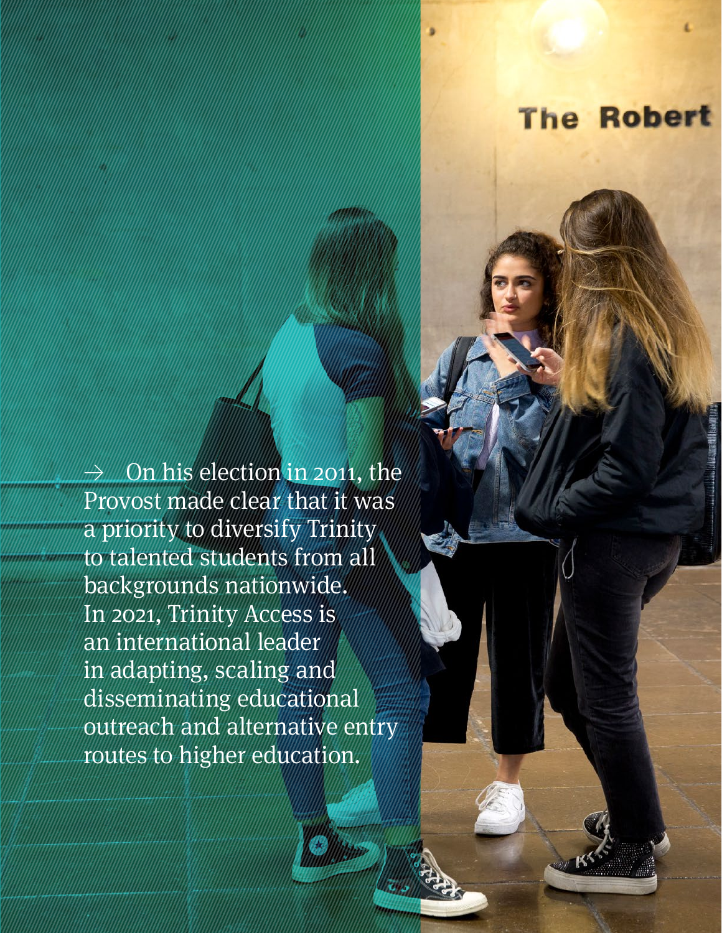# **The Robert**

≥ On his election in 2011, the Provost made clear that it was a priority to diversify Trinity to talented students from all backgrounds nationwide. In 2021, Trinity Access is an international leader in adapting, scaling and disseminating educational outreach and alternative entry routes to higher education.

**Retrospective Review** 2011–21 64 | 65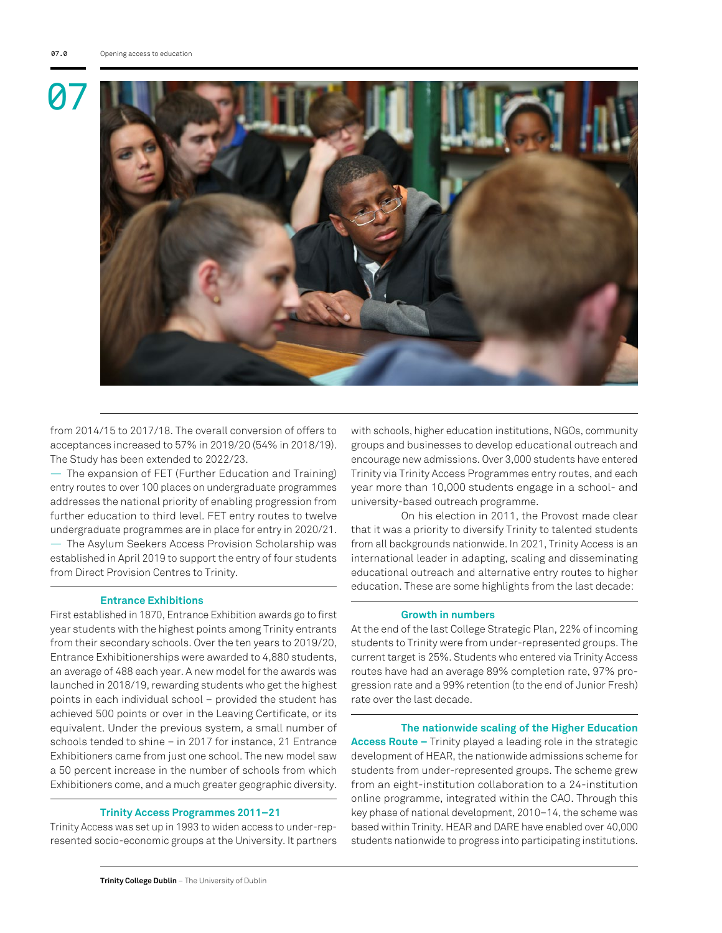

from 2014/15 to 2017/18. The overall conversion of offers to acceptances increased to 57% in 2019/20 (54% in 2018/19). The Study has been extended to 2022/23.

— The expansion of FET (Further Education and Training) entry routes to over 100 places on undergraduate programmes addresses the national priority of enabling progression from further education to third level. FET entry routes to twelve undergraduate programmes are in place for entry in 2020/21.

— The Asylum Seekers Access Provision Scholarship was established in April 2019 to support the entry of four students from Direct Provision Centres to Trinity.

### **Entrance Exhibitions**

First established in 1870, Entrance Exhibition awards go to first year students with the highest points among Trinity entrants from their secondary schools. Over the ten years to 2019/20, Entrance Exhibitionerships were awarded to 4,880 students, an average of 488 each year. A new model for the awards was launched in 2018/19, rewarding students who get the highest points in each individual school – provided the student has achieved 500 points or over in the Leaving Certificate, or its equivalent. Under the previous system, a small number of schools tended to shine – in 2017 for instance, 21 Entrance Exhibitioners came from just one school. The new model saw a 50 percent increase in the number of schools from which Exhibitioners come, and a much greater geographic diversity.

#### **Trinity Access Programmes 2011–21**

Trinity Access was set up in 1993 to widen access to under-represented socio-economic groups at the University. It partners with schools, higher education institutions, NGOs, community groups and businesses to develop educational outreach and encourage new admissions. Over 3,000 students have entered Trinity via Trinity Access Programmes entry routes, and each year more than 10,000 students engage in a school- and university-based outreach programme.

On his election in 2011, the Provost made clear that it was a priority to diversify Trinity to talented students from all backgrounds nationwide. In 2021, Trinity Access is an international leader in adapting, scaling and disseminating educational outreach and alternative entry routes to higher education. These are some highlights from the last decade:

# **Growth in numbers**

At the end of the last College Strategic Plan, 22% of incoming students to Trinity were from under-represented groups. The current target is 25%. Students who entered via Trinity Access routes have had an average 89% completion rate, 97% progression rate and a 99% retention (to the end of Junior Fresh) rate over the last decade.

**The nationwide scaling of the Higher Education Access Route –** Trinity played a leading role in the strategic development of HEAR, the nationwide admissions scheme for students from under-represented groups. The scheme grew from an eight-institution collaboration to a 24-institution online programme, integrated within the CAO. Through this key phase of national development, 2010–14, the scheme was based within Trinity. HEAR and DARE have enabled over 40,000 students nationwide to progress into participating institutions.